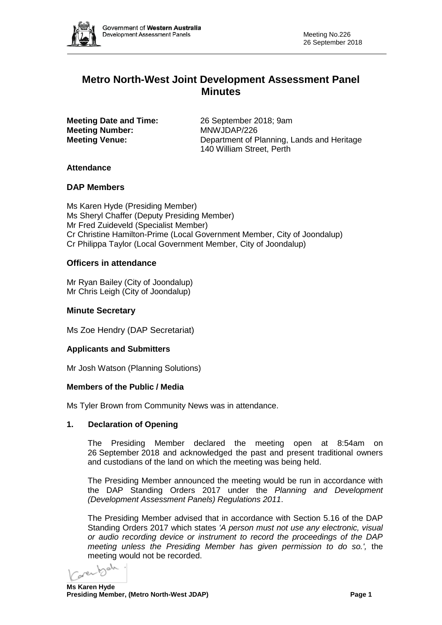

# **Metro North-West Joint Development Assessment Panel Minutes**

**Meeting Number:** 

**Meeting Date and Time:** 26 September 2018; 9am<br> **Meeting Number:** MNWJDAP/226 **Meeting Venue:** Department of Planning, Lands and Heritage 140 William Street, Perth

# **Attendance**

### **DAP Members**

Ms Karen Hyde (Presiding Member) Ms Sheryl Chaffer (Deputy Presiding Member) Mr Fred Zuideveld (Specialist Member) Cr Christine Hamilton-Prime (Local Government Member, City of Joondalup) Cr Philippa Taylor (Local Government Member, City of Joondalup)

# **Officers in attendance**

Mr Ryan Bailey (City of Joondalup) Mr Chris Leigh (City of Joondalup)

# **Minute Secretary**

Ms Zoe Hendry (DAP Secretariat)

### **Applicants and Submitters**

Mr Josh Watson (Planning Solutions)

### **Members of the Public / Media**

Ms Tyler Brown from Community News was in attendance.

### **1. Declaration of Opening**

The Presiding Member declared the meeting open at 8:54am on 26 September 2018 and acknowledged the past and present traditional owners and custodians of the land on which the meeting was being held.

The Presiding Member announced the meeting would be run in accordance with the DAP Standing Orders 2017 under the *Planning and Development (Development Assessment Panels) Regulations 2011*.

The Presiding Member advised that in accordance with Section 5.16 of the DAP Standing Orders 2017 which states *'A person must not use any electronic, visual or audio recording device or instrument to record the proceedings of the DAP meeting unless the Presiding Member has given permission to do so.',* the meeting would not be recorded.

gres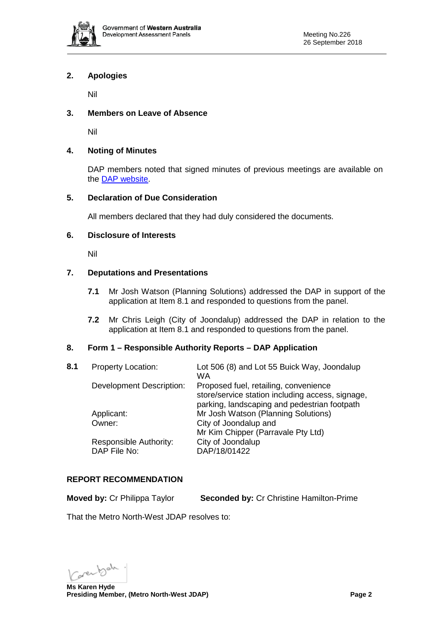

## **2. Apologies**

Nil

# **3. Members on Leave of Absence**

Nil

# **4. Noting of Minutes**

DAP members noted that signed minutes of previous meetings are available on the [DAP website.](https://www.planning.wa.gov.au/7578.aspx)

### **5. Declaration of Due Consideration**

All members declared that they had duly considered the documents.

#### **6. Disclosure of Interests**

Nil

# **7. Deputations and Presentations**

- **7.1** Mr Josh Watson (Planning Solutions) addressed the DAP in support of the application at Item 8.1 and responded to questions from the panel.
- **7.2** Mr Chris Leigh (City of Joondalup) addressed the DAP in relation to the application at Item 8.1 and responded to questions from the panel.

### **8. Form 1 – Responsible Authority Reports – DAP Application**

| 8.1 | <b>Property Location:</b>              | Lot 506 (8) and Lot 55 Buick Way, Joondalup<br>WA                                                                                         |
|-----|----------------------------------------|-------------------------------------------------------------------------------------------------------------------------------------------|
|     | Development Description:               | Proposed fuel, retailing, convenience<br>store/service station including access, signage,<br>parking, landscaping and pedestrian footpath |
|     | Applicant:                             | Mr Josh Watson (Planning Solutions)                                                                                                       |
|     | Owner:                                 | City of Joondalup and                                                                                                                     |
|     |                                        | Mr Kim Chipper (Parravale Pty Ltd)                                                                                                        |
|     | Responsible Authority:<br>DAP File No: | City of Joondalup<br>DAP/18/01422                                                                                                         |

### **REPORT RECOMMENDATION**

**Moved by:** Cr Philippa Taylor **Seconded by:** Cr Christine Hamilton-Prime

That the Metro North-West JDAP resolves to:

**Ms Karen Hyde**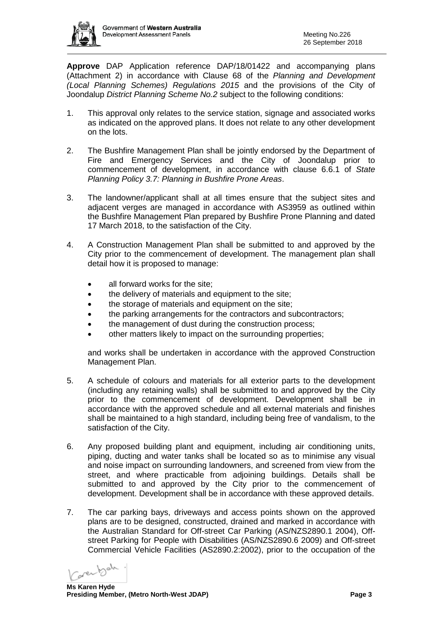

**Approve** DAP Application reference DAP/18/01422 and accompanying plans (Attachment 2) in accordance with Clause 68 of the *Planning and Development (Local Planning Schemes) Regulations 2015* and the provisions of the City of Joondalup *District Planning Scheme No.2* subject to the following conditions:

- 1. This approval only relates to the service station, signage and associated works as indicated on the approved plans. It does not relate to any other development on the lots.
- 2. The Bushfire Management Plan shall be jointly endorsed by the Department of Fire and Emergency Services and the City of Joondalup prior to commencement of development, in accordance with clause 6.6.1 of *State Planning Policy 3.7: Planning in Bushfire Prone Areas*.
- 3. The landowner/applicant shall at all times ensure that the subject sites and adjacent verges are managed in accordance with AS3959 as outlined within the Bushfire Management Plan prepared by Bushfire Prone Planning and dated 17 March 2018, to the satisfaction of the City.
- 4. A Construction Management Plan shall be submitted to and approved by the City prior to the commencement of development. The management plan shall detail how it is proposed to manage:
	- all forward works for the site;
	- the delivery of materials and equipment to the site;
	- the storage of materials and equipment on the site;
	- the parking arrangements for the contractors and subcontractors;
	- the management of dust during the construction process;
	- other matters likely to impact on the surrounding properties;

and works shall be undertaken in accordance with the approved Construction Management Plan.

- 5. A schedule of colours and materials for all exterior parts to the development (including any retaining walls) shall be submitted to and approved by the City prior to the commencement of development. Development shall be in accordance with the approved schedule and all external materials and finishes shall be maintained to a high standard, including being free of vandalism, to the satisfaction of the City.
- 6. Any proposed building plant and equipment, including air conditioning units, piping, ducting and water tanks shall be located so as to minimise any visual and noise impact on surrounding landowners, and screened from view from the street, and where practicable from adjoining buildings. Details shall be submitted to and approved by the City prior to the commencement of development. Development shall be in accordance with these approved details.
- 7. The car parking bays, driveways and access points shown on the approved plans are to be designed, constructed, drained and marked in accordance with the Australian Standard for Off-street Car Parking (AS/NZS2890.1 2004), Offstreet Parking for People with Disabilities (AS/NZS2890.6 2009) and Off-street Commercial Vehicle Facilities (AS2890.2:2002), prior to the occupation of the

**Ms Karen Hyde**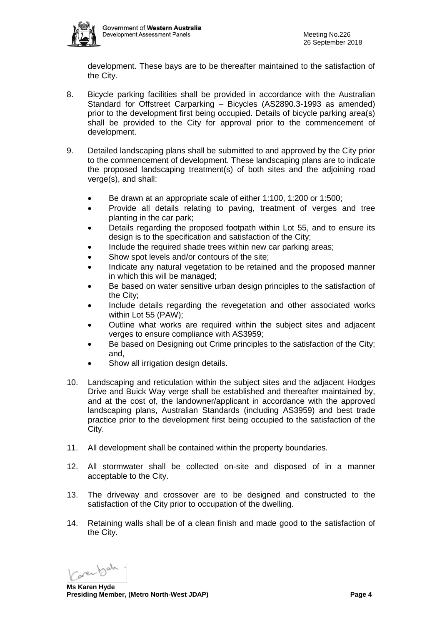

development. These bays are to be thereafter maintained to the satisfaction of the City.

- 8. Bicycle parking facilities shall be provided in accordance with the Australian Standard for Offstreet Carparking – Bicycles (AS2890.3-1993 as amended) prior to the development first being occupied. Details of bicycle parking area(s) shall be provided to the City for approval prior to the commencement of development.
- 9. Detailed landscaping plans shall be submitted to and approved by the City prior to the commencement of development. These landscaping plans are to indicate the proposed landscaping treatment(s) of both sites and the adjoining road verge(s), and shall:
	- Be drawn at an appropriate scale of either 1:100, 1:200 or 1:500;
	- Provide all details relating to paving, treatment of verges and tree planting in the car park;
	- Details regarding the proposed footpath within Lot 55, and to ensure its design is to the specification and satisfaction of the City;
	- Include the required shade trees within new car parking areas;
	- Show spot levels and/or contours of the site;
	- Indicate any natural vegetation to be retained and the proposed manner in which this will be managed;
	- Be based on water sensitive urban design principles to the satisfaction of the City;
	- Include details regarding the revegetation and other associated works within Lot 55 (PAW);
	- Outline what works are required within the subject sites and adjacent verges to ensure compliance with AS3959;
	- Be based on Designing out Crime principles to the satisfaction of the City; and,
	- Show all irrigation design details.
- 10. Landscaping and reticulation within the subject sites and the adjacent Hodges Drive and Buick Way verge shall be established and thereafter maintained by, and at the cost of, the landowner/applicant in accordance with the approved landscaping plans, Australian Standards (including AS3959) and best trade practice prior to the development first being occupied to the satisfaction of the City.
- 11. All development shall be contained within the property boundaries.
- 12. All stormwater shall be collected on-site and disposed of in a manner acceptable to the City.
- 13. The driveway and crossover are to be designed and constructed to the satisfaction of the City prior to occupation of the dwelling.
- 14. Retaining walls shall be of a clean finish and made good to the satisfaction of the City.

**Ms Karen Hyde**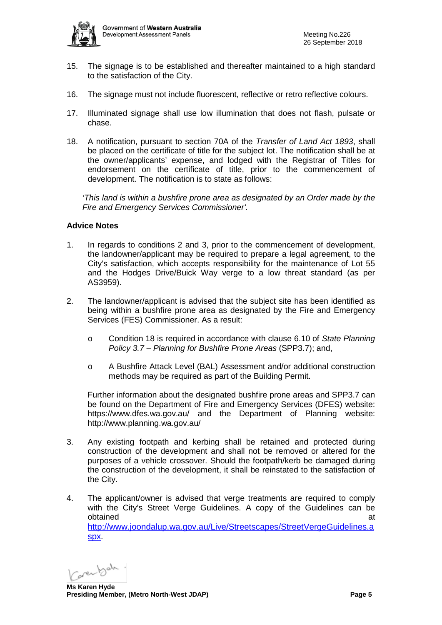

- 15. The signage is to be established and thereafter maintained to a high standard to the satisfaction of the City.
- 16. The signage must not include fluorescent, reflective or retro reflective colours.
- 17. Illuminated signage shall use low illumination that does not flash, pulsate or chase.
- 18. A notification, pursuant to section 70A of the *Transfer of Land Act 1893*, shall be placed on the certificate of title for the subject lot. The notification shall be at the owner/applicants' expense, and lodged with the Registrar of Titles for endorsement on the certificate of title, prior to the commencement of development. The notification is to state as follows:

*'This land is within a bushfire prone area as designated by an Order made by the Fire and Emergency Services Commissioner'.*

#### **Advice Notes**

- 1. In regards to conditions 2 and 3, prior to the commencement of development, the landowner/applicant may be required to prepare a legal agreement, to the City's satisfaction, which accepts responsibility for the maintenance of Lot 55 and the Hodges Drive/Buick Way verge to a low threat standard (as per AS3959).
- 2. The landowner/applicant is advised that the subject site has been identified as being within a bushfire prone area as designated by the Fire and Emergency Services (FES) Commissioner. As a result:
	- o Condition 18 is required in accordance with clause 6.10 of *State Planning Policy 3.7 – Planning for Bushfire Prone Areas* (SPP3.7); and,
	- o A Bushfire Attack Level (BAL) Assessment and/or additional construction methods may be required as part of the Building Permit.

Further information about the designated bushfire prone areas and SPP3.7 can be found on the Department of Fire and Emergency Services (DFES) website: <https://www.dfes.wa.gov.au/> and the Department of Planning website: <http://www.planning.wa.gov.au/>

- 3. Any existing footpath and kerbing shall be retained and protected during construction of the development and shall not be removed or altered for the purposes of a vehicle crossover. Should the footpath/kerb be damaged during the construction of the development, it shall be reinstated to the satisfaction of the City.
- 4. The applicant/owner is advised that verge treatments are required to comply with the City's Street Verge Guidelines. A copy of the Guidelines can be obtained at a state of the state of the state  $\alpha$  at a state of the state  $\alpha$ [http://www.joondalup.wa.gov.au/Live/Streetscapes/StreetVergeGuidelines.a](http://www.joondalup.wa.gov.au/Live/Streetscapes/StreetVergeGuidelines.aspx) [spx.](http://www.joondalup.wa.gov.au/Live/Streetscapes/StreetVergeGuidelines.aspx)

**Ms Karen Hyde**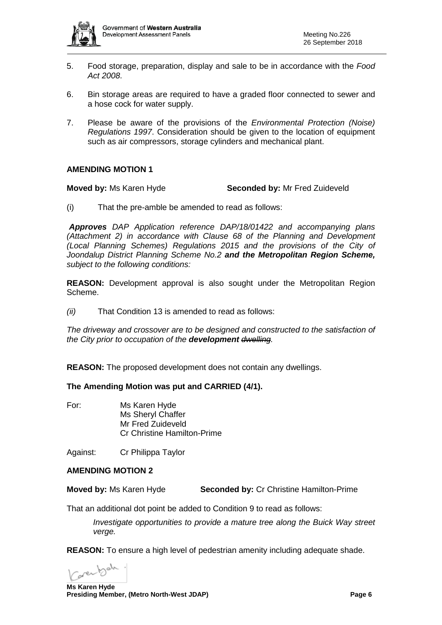

- 5. Food storage, preparation, display and sale to be in accordance with the *Food Act 2008*.
- 6. Bin storage areas are required to have a graded floor connected to sewer and a hose cock for water supply.
- 7. Please be aware of the provisions of the *Environmental Protection (Noise) Regulations 1997*. Consideration should be given to the location of equipment such as air compressors, storage cylinders and mechanical plant.

### **AMENDING MOTION 1**

**Moved by:** Ms Karen Hyde **Seconded by:** Mr Fred Zuideveld

(i) That the pre-amble be amended to read as follows:

*Approves DAP Application reference DAP/18/01422 and accompanying plans (Attachment 2) in accordance with Clause 68 of the Planning and Development (Local Planning Schemes) Regulations 2015 and the provisions of the City of Joondalup District Planning Scheme No.2 and the Metropolitan Region Scheme, subject to the following conditions:*

**REASON:** Development approval is also sought under the Metropolitan Region Scheme.

*(ii)* That Condition 13 is amended to read as follows:

*The driveway and crossover are to be designed and constructed to the satisfaction of the City prior to occupation of the development dwelling.*

**REASON:** The proposed development does not contain any dwellings.

#### **The Amending Motion was put and CARRIED (4/1).**

For: Ms Karen Hyde Ms Sheryl Chaffer Mr Fred Zuideveld Cr Christine Hamilton-Prime

Against: Cr Philippa Taylor

#### **AMENDING MOTION 2**

**Moved by:** Ms Karen Hyde **Seconded by:** Cr Christine Hamilton-Prime

That an additional dot point be added to Condition 9 to read as follows:

*Investigate opportunities to provide a mature tree along the Buick Way street verge.*

**REASON:** To ensure a high level of pedestrian amenity including adequate shade.

**Ms Karen Hyde**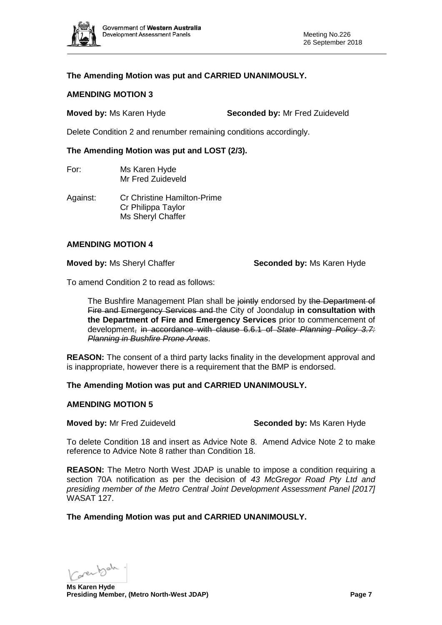

# **The Amending Motion was put and CARRIED UNANIMOUSLY.**

#### **AMENDING MOTION 3**

**Moved by:** Ms Karen Hyde **Seconded by:** Mr Fred Zuideveld

Delete Condition 2 and renumber remaining conditions accordingly.

#### **The Amending Motion was put and LOST (2/3).**

For: Ms Karen Hyde Mr Fred Zuideveld

Against: Cr Christine Hamilton-Prime Cr Philippa Taylor Ms Sheryl Chaffer

#### **AMENDING MOTION 4**

**Moved by: Ms Sheryl Chaffer <b>Seconded by:** Ms Karen Hyde

To amend Condition 2 to read as follows:

The Bushfire Management Plan shall be jointly endorsed by the Department of Fire and Emergency Services and the City of Joondalup **in consultation with the Department of Fire and Emergency Services** prior to commencement of development, in accordance with clause 6.6.1 of *State Planning Policy 3.7: Planning in Bushfire Prone Areas*.

**REASON:** The consent of a third party lacks finality in the development approval and is inappropriate, however there is a requirement that the BMP is endorsed.

### **The Amending Motion was put and CARRIED UNANIMOUSLY.**

# **AMENDING MOTION 5**

**Moved by:** Mr Fred Zuideveld **Seconded by:** Ms Karen Hyde

To delete Condition 18 and insert as Advice Note 8. Amend Advice Note 2 to make reference to Advice Note 8 rather than Condition 18.

**REASON:** The Metro North West JDAP is unable to impose a condition requiring a section 70A notification as per the decision of *43 McGregor Road Pty Ltd and presiding member of the Metro Central Joint Development Assessment Panel [2017]*  WASAT 127.

**The Amending Motion was put and CARRIED UNANIMOUSLY.** 

**Ms Karen Hyde**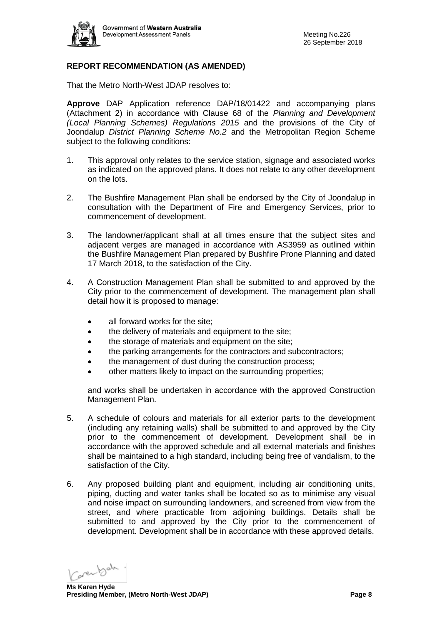

# **REPORT RECOMMENDATION (AS AMENDED)**

That the Metro North-West JDAP resolves to:

**Approve** DAP Application reference DAP/18/01422 and accompanying plans (Attachment 2) in accordance with Clause 68 of the *Planning and Development (Local Planning Schemes) Regulations 2015* and the provisions of the City of Joondalup *District Planning Scheme No.2* and the Metropolitan Region Scheme subject to the following conditions:

- 1. This approval only relates to the service station, signage and associated works as indicated on the approved plans. It does not relate to any other development on the lots.
- 2. The Bushfire Management Plan shall be endorsed by the City of Joondalup in consultation with the Department of Fire and Emergency Services, prior to commencement of development.
- 3. The landowner/applicant shall at all times ensure that the subject sites and adjacent verges are managed in accordance with AS3959 as outlined within the Bushfire Management Plan prepared by Bushfire Prone Planning and dated 17 March 2018, to the satisfaction of the City.
- 4. A Construction Management Plan shall be submitted to and approved by the City prior to the commencement of development. The management plan shall detail how it is proposed to manage:
	- all forward works for the site:
	- the delivery of materials and equipment to the site;
	- the storage of materials and equipment on the site;
	- the parking arrangements for the contractors and subcontractors;
	- the management of dust during the construction process;
	- other matters likely to impact on the surrounding properties;

and works shall be undertaken in accordance with the approved Construction Management Plan.

- 5. A schedule of colours and materials for all exterior parts to the development (including any retaining walls) shall be submitted to and approved by the City prior to the commencement of development. Development shall be in accordance with the approved schedule and all external materials and finishes shall be maintained to a high standard, including being free of vandalism, to the satisfaction of the City.
- 6. Any proposed building plant and equipment, including air conditioning units, piping, ducting and water tanks shall be located so as to minimise any visual and noise impact on surrounding landowners, and screened from view from the street, and where practicable from adjoining buildings. Details shall be submitted to and approved by the City prior to the commencement of development. Development shall be in accordance with these approved details.

**Ms Karen Hyde**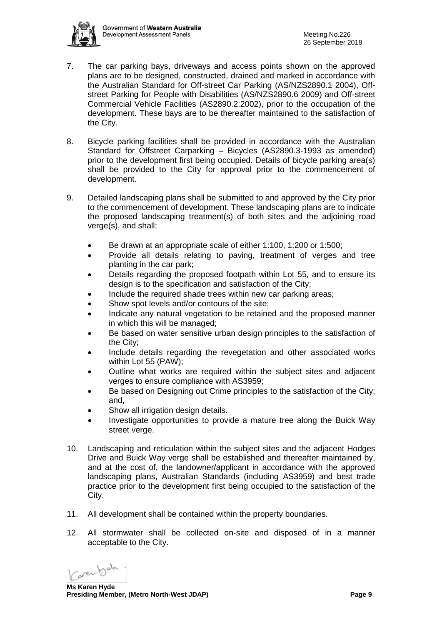

- 7. The car parking bays, driveways and access points shown on the approved plans are to be designed, constructed, drained and marked in accordance with the Australian Standard for Off-street Car Parking (AS/NZS2890.1 2004), Offstreet Parking for People with Disabilities (AS/NZS2890.6 2009) and Off-street Commercial Vehicle Facilities (AS2890.2:2002), prior to the occupation of the development. These bays are to be thereafter maintained to the satisfaction of the City.
- 8. Bicycle parking facilities shall be provided in accordance with the Australian Standard for Offstreet Carparking – Bicycles (AS2890.3-1993 as amended) prior to the development first being occupied. Details of bicycle parking area(s) shall be provided to the City for approval prior to the commencement of development.
- 9. Detailed landscaping plans shall be submitted to and approved by the City prior to the commencement of development. These landscaping plans are to indicate the proposed landscaping treatment(s) of both sites and the adjoining road verge(s), and shall:
	- Be drawn at an appropriate scale of either 1:100, 1:200 or 1:500;
	- Provide all details relating to paving, treatment of verges and tree planting in the car park;
	- Details regarding the proposed footpath within Lot 55, and to ensure its design is to the specification and satisfaction of the City;
	- Include the required shade trees within new car parking areas;
	- Show spot levels and/or contours of the site;
	- Indicate any natural vegetation to be retained and the proposed manner in which this will be managed;
	- Be based on water sensitive urban design principles to the satisfaction of the City;
	- Include details regarding the revegetation and other associated works within Lot 55 (PAW);
	- Outline what works are required within the subject sites and adjacent verges to ensure compliance with AS3959;
	- Be based on Designing out Crime principles to the satisfaction of the City; and,
	- Show all irrigation design details.
	- Investigate opportunities to provide a mature tree along the Buick Way street verge.
- 10. Landscaping and reticulation within the subject sites and the adjacent Hodges Drive and Buick Way verge shall be established and thereafter maintained by, and at the cost of, the landowner/applicant in accordance with the approved landscaping plans, Australian Standards (including AS3959) and best trade practice prior to the development first being occupied to the satisfaction of the City.
- 11. All development shall be contained within the property boundaries.
- 12. All stormwater shall be collected on-site and disposed of in a manner acceptable to the City.

**Ms Karen Hyde**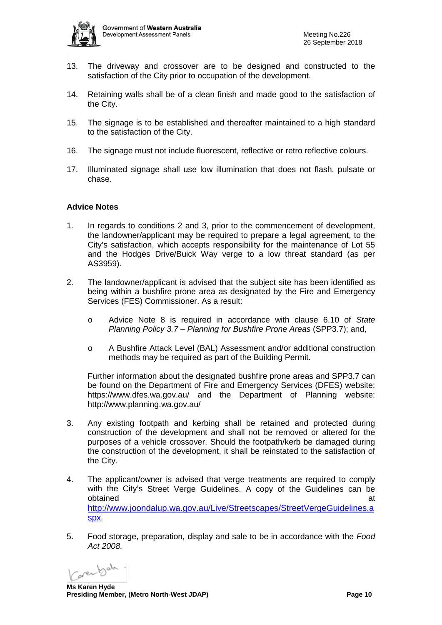

- 13. The driveway and crossover are to be designed and constructed to the satisfaction of the City prior to occupation of the development.
- 14. Retaining walls shall be of a clean finish and made good to the satisfaction of the City.
- 15. The signage is to be established and thereafter maintained to a high standard to the satisfaction of the City.
- 16. The signage must not include fluorescent, reflective or retro reflective colours.
- 17. Illuminated signage shall use low illumination that does not flash, pulsate or chase.

#### **Advice Notes**

- 1. In regards to conditions 2 and 3, prior to the commencement of development, the landowner/applicant may be required to prepare a legal agreement, to the City's satisfaction, which accepts responsibility for the maintenance of Lot 55 and the Hodges Drive/Buick Way verge to a low threat standard (as per AS3959).
- 2. The landowner/applicant is advised that the subject site has been identified as being within a bushfire prone area as designated by the Fire and Emergency Services (FES) Commissioner. As a result:
	- o Advice Note 8 is required in accordance with clause 6.10 of *State Planning Policy 3.7 – Planning for Bushfire Prone Areas* (SPP3.7); and,
	- o A Bushfire Attack Level (BAL) Assessment and/or additional construction methods may be required as part of the Building Permit.

Further information about the designated bushfire prone areas and SPP3.7 can be found on the Department of Fire and Emergency Services (DFES) website: <https://www.dfes.wa.gov.au/> and the Department of Planning website: <http://www.planning.wa.gov.au/>

- 3. Any existing footpath and kerbing shall be retained and protected during construction of the development and shall not be removed or altered for the purposes of a vehicle crossover. Should the footpath/kerb be damaged during the construction of the development, it shall be reinstated to the satisfaction of the City.
- 4. The applicant/owner is advised that verge treatments are required to comply with the City's Street Verge Guidelines. A copy of the Guidelines can be obtained at a state of the state of the state of the state  $\alpha$  at a state of the state  $\alpha$ [http://www.joondalup.wa.gov.au/Live/Streetscapes/StreetVergeGuidelines.a](http://www.joondalup.wa.gov.au/Live/Streetscapes/StreetVergeGuidelines.aspx) [spx.](http://www.joondalup.wa.gov.au/Live/Streetscapes/StreetVergeGuidelines.aspx)
- 5. Food storage, preparation, display and sale to be in accordance with the *Food Act 2008*.

**Ms Karen Hyde**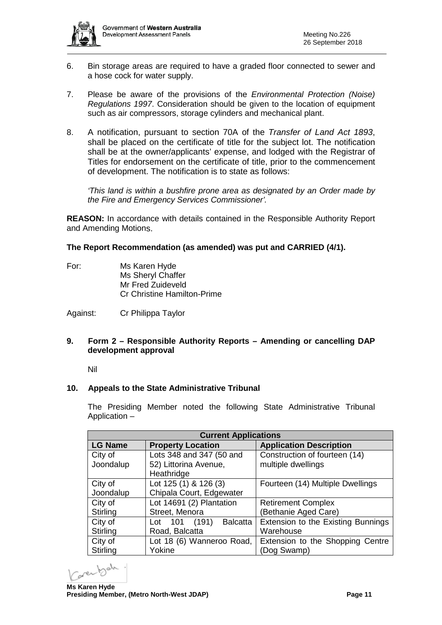

- 6. Bin storage areas are required to have a graded floor connected to sewer and a hose cock for water supply.
- 7. Please be aware of the provisions of the *Environmental Protection (Noise) Regulations 1997*. Consideration should be given to the location of equipment such as air compressors, storage cylinders and mechanical plant.
- 8. A notification, pursuant to section 70A of the *Transfer of Land Act 1893*, shall be placed on the certificate of title for the subject lot. The notification shall be at the owner/applicants' expense, and lodged with the Registrar of Titles for endorsement on the certificate of title, prior to the commencement of development. The notification is to state as follows:

*'This land is within a bushfire prone area as designated by an Order made by the Fire and Emergency Services Commissioner'.*

**REASON:** In accordance with details contained in the Responsible Authority Report and Amending Motions.

### **The Report Recommendation (as amended) was put and CARRIED (4/1).**

For: Ms Karen Hyde Ms Sheryl Chaffer Mr Fred Zuideveld Cr Christine Hamilton-Prime

Against: Cr Philippa Taylor

### **9. Form 2 – Responsible Authority Reports – Amending or cancelling DAP development approval**

Nil

### **10. Appeals to the State Administrative Tribunal**

The Presiding Member noted the following State Administrative Tribunal Application –

| <b>Current Applications</b> |                                        |                                    |  |  |  |
|-----------------------------|----------------------------------------|------------------------------------|--|--|--|
| <b>LG Name</b>              | <b>Property Location</b>               | <b>Application Description</b>     |  |  |  |
| City of                     | Lots 348 and 347 (50 and               | Construction of fourteen (14)      |  |  |  |
| Joondalup                   | 52) Littorina Avenue,                  | multiple dwellings                 |  |  |  |
|                             | Heathridge                             |                                    |  |  |  |
| City of                     | Lot 125 (1) & 126 (3)                  | Fourteen (14) Multiple Dwellings   |  |  |  |
| Joondalup                   | Chipala Court, Edgewater               |                                    |  |  |  |
| City of                     | Lot 14691 (2) Plantation               | <b>Retirement Complex</b>          |  |  |  |
| Stirling                    | Street, Menora                         | (Bethanie Aged Care)               |  |  |  |
| City of                     | (191)<br>101<br><b>Balcatta</b><br>Lot | Extension to the Existing Bunnings |  |  |  |
| Stirling                    | Road, Balcatta                         | Warehouse                          |  |  |  |
| City of                     | Lot 18 (6) Wanneroo Road,              | Extension to the Shopping Centre   |  |  |  |
| Stirling                    | Yokine                                 | (Dog Swamp)                        |  |  |  |

**Ms Karen Hyde**